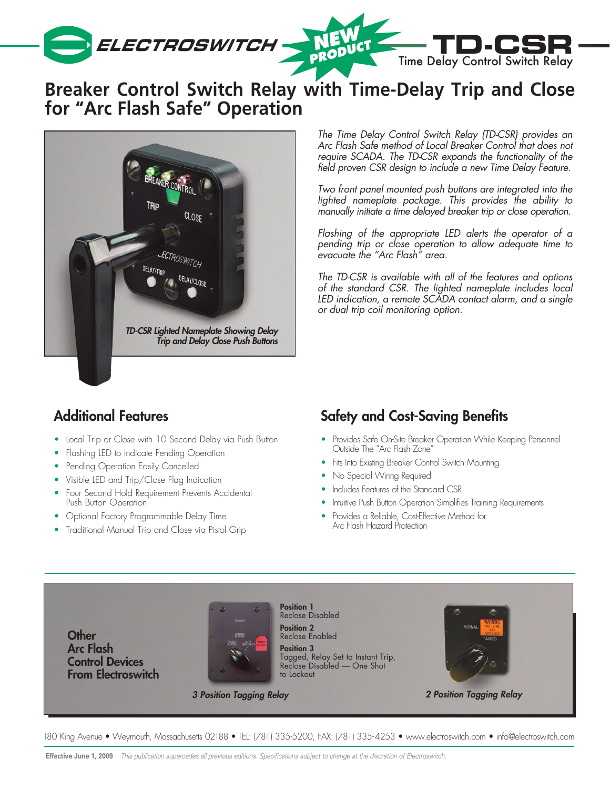

# **Breaker Control Switch Relay with Time-Delay Trip and Close for "Arc Flash Safe" Operation**



*The Time Delay Control Switch Relay (TD-CSR) provides an Arc Flash Safe method of Local Breaker Control that does not require SCADA. The TD-CSR expands the functionality of the field proven CSR design to include a new Time Delay Feature.*

*Two front panel mounted push buttons are integrated into the lighted nameplate package. This provides the ability to manually initiate a time delayed breaker trip or close operation.* 

*Flashing of the appropriate LED alerts the operator of a pending trip or close operation to allow adequate time to evacuate the "Arc Flash" area.* 

*The TD-CSR is available with all of the features and options of the standard CSR. The lighted nameplate includes local LED indication, a remote SCADA contact alarm, and a single or dual trip coil monitoring option.*

## Additional Features

- Local Trip or Close with 10 Second Delay via Push Button
- Flashing LED to Indicate Pending Operation
- Pending Operation Easily Cancelled
- Visible LED and Trip/Close Flag Indication
- Four Second Hold Requirement Prevents Accidental Push Button Operation
- Optional Factory Programmable Delay Time
- Traditional Manual Trip and Close via Pistol Grip

## Safety and Cost-Saving Benefits

- Provides Safe On-Site Breaker Operation While Keeping Personnel Outside The "Arc Flash Zone"
- Fits Into Existing Breaker Control Switch Mounting
- No Special Wiring Required
- Includes Features of the Standard CSR
- Intuitive Push Button Operation Simplifies Training Requirements
- Provides a Reliable, Cost-Effective Method for Arc Flash Hazard Protection



180 King Avenue • Weymouth, Massachusetts 02188 • TEL: (781) 335-5200, FAX: (781) 335-4253 • www.electroswitch.com • info@electroswitch.com